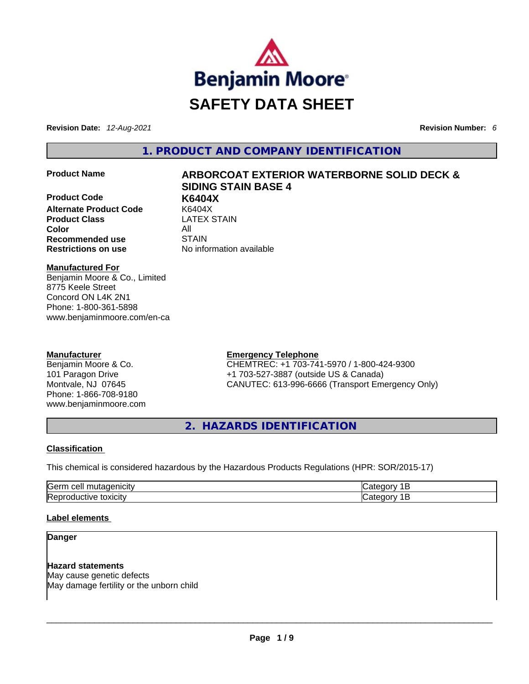

**Revision Date:** *12-Aug-2021* **Revision Number:** *6*

**1. PRODUCT AND COMPANY IDENTIFICATION** 

**Product Code K6404X Alternate Product Code** K6404X **Product Class Color** All **Recommended use** STAIN **Restrictions on use** No information available

# **Product Name ARBORCOAT EXTERIOR WATERBORNE SOLID DECK & SIDING STAIN BASE 4**

**Manufactured For** Benjamin Moore & Co., Limited 8775 Keele Street Concord ON L4K 2N1 Phone: 1-800-361-5898 www.benjaminmoore.com/en-ca

# **Manufacturer**

Benjamin Moore & Co. 101 Paragon Drive Montvale, NJ 07645 Phone: 1-866-708-9180 www.benjaminmoore.com

# **Emergency Telephone**

CHEMTREC: +1 703-741-5970 / 1-800-424-9300 +1 703-527-3887 (outside US & Canada) CANUTEC: 613-996-6666 (Transport Emergency Only)

**2. HAZARDS IDENTIFICATION** 

# **Classification**

This chemical is considered hazardous by the Hazardous Products Regulations (HPR: SOR/2015-17)

| Germ<br>$\sim$<br>$-20.25$<br>cell<br>יימו<br>∩⊔t'<br>тислэ<br>10 I.H | - -                   |
|-----------------------------------------------------------------------|-----------------------|
| <b>IRer</b><br>toxicity<br>,,,,<br>uve<br>.                           | - -<br>м<br>◡<br>---- |

# **Label elements**

**Danger** 

**Hazard statements** May cause genetic defects May damage fertility or the unborn child \_\_\_\_\_\_\_\_\_\_\_\_\_\_\_\_\_\_\_\_\_\_\_\_\_\_\_\_\_\_\_\_\_\_\_\_\_\_\_\_\_\_\_\_\_\_\_\_\_\_\_\_\_\_\_\_\_\_\_\_\_\_\_\_\_\_\_\_\_\_\_\_\_\_\_\_\_\_\_\_\_\_\_\_\_\_\_\_\_\_\_\_\_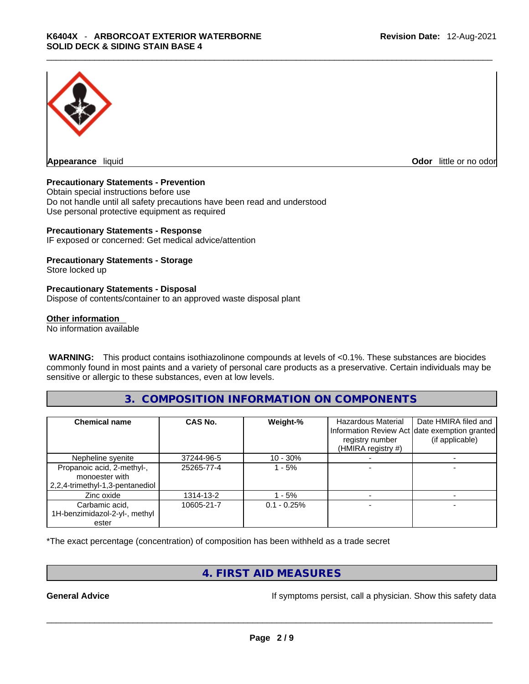

**Appearance** liquid **Odor 11** and **Odor 11** and **Odor 11** and **Odor 11** and **Odor 11** and **Odor** 11 and **Odor** 11 and **Odor** 11 and **Odor** 11 and **Odor** 11 and **Odor** 11 and **Odor** 11 and **Odor** 11 and **Odor** 11 and **Odor** 

#### **Precautionary Statements - Prevention**

Obtain special instructions before use Do not handle until all safety precautions have been read and understood Use personal protective equipment as required

#### **Precautionary Statements - Response**

IF exposed or concerned: Get medical advice/attention

### **Precautionary Statements - Storage**

Store locked up

#### **Precautionary Statements - Disposal**

Dispose of contents/container to an approved waste disposal plant

#### **Other information**

No information available

 **WARNING:** This product contains isothiazolinone compounds at levels of <0.1%. These substances are biocides commonly found in most paints and a variety of personal care products as a preservative. Certain individuals may be sensitive or allergic to these substances, even at low levels.

# **3. COMPOSITION INFORMATION ON COMPONENTS**

| <b>Chemical name</b>                                                            | CAS No.    | Weight-%      | <b>Hazardous Material</b><br>registry number<br>(HMIRA registry #) | Date HMIRA filed and<br>Information Review Act date exemption granted<br>(if applicable) |
|---------------------------------------------------------------------------------|------------|---------------|--------------------------------------------------------------------|------------------------------------------------------------------------------------------|
| Nepheline syenite                                                               | 37244-96-5 | $10 - 30%$    |                                                                    |                                                                                          |
| Propanoic acid, 2-methyl-,<br>monoester with<br>2,2,4-trimethyl-1,3-pentanediol | 25265-77-4 | - 5%          |                                                                    |                                                                                          |
| Zinc oxide                                                                      | 1314-13-2  | $-5%$         |                                                                    |                                                                                          |
| Carbamic acid,<br>1H-benzimidazol-2-yl-, methyl                                 | 10605-21-7 | $0.1 - 0.25%$ |                                                                    |                                                                                          |
| ester                                                                           |            |               |                                                                    |                                                                                          |

\*The exact percentage (concentration) of composition has been withheld as a trade secret

# **4. FIRST AID MEASURES**

**General Advice If symptoms persist, call a physician. Show this safety data If** symptoms persist, call a physician. Show this safety data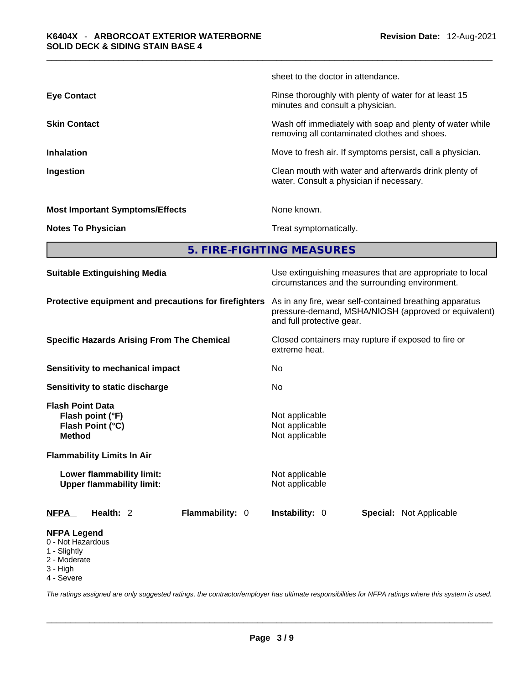|                                        | sheet to the doctor in attendance.                                                                       |
|----------------------------------------|----------------------------------------------------------------------------------------------------------|
| <b>Eye Contact</b>                     | Rinse thoroughly with plenty of water for at least 15<br>minutes and consult a physician.                |
| <b>Skin Contact</b>                    | Wash off immediately with soap and plenty of water while<br>removing all contaminated clothes and shoes. |
| <b>Inhalation</b>                      | Move to fresh air. If symptoms persist, call a physician.                                                |
| Ingestion                              | Clean mouth with water and afterwards drink plenty of<br>water. Consult a physician if necessary.        |
| <b>Most Important Symptoms/Effects</b> | None known.                                                                                              |
| <b>Notes To Physician</b>              | Treat symptomatically.                                                                                   |
|                                        |                                                                                                          |

**5. FIRE-FIGHTING MEASURES** 

| <b>Suitable Extinguishing Media</b>                                                                                                                                                    | Use extinguishing measures that are appropriate to local<br>circumstances and the surrounding environment.                                   |  |  |  |
|----------------------------------------------------------------------------------------------------------------------------------------------------------------------------------------|----------------------------------------------------------------------------------------------------------------------------------------------|--|--|--|
| Protective equipment and precautions for firefighters                                                                                                                                  | As in any fire, wear self-contained breathing apparatus<br>pressure-demand, MSHA/NIOSH (approved or equivalent)<br>and full protective gear. |  |  |  |
| <b>Specific Hazards Arising From The Chemical</b>                                                                                                                                      | Closed containers may rupture if exposed to fire or<br>extreme heat.                                                                         |  |  |  |
| Sensitivity to mechanical impact                                                                                                                                                       | No.                                                                                                                                          |  |  |  |
| Sensitivity to static discharge                                                                                                                                                        | No.                                                                                                                                          |  |  |  |
| <b>Flash Point Data</b><br>Flash point (°F)<br>Flash Point (°C)<br><b>Method</b><br><b>Flammability Limits In Air</b><br>Lower flammability limit:<br><b>Upper flammability limit:</b> | Not applicable<br>Not applicable<br>Not applicable<br>Not applicable<br>Not applicable                                                       |  |  |  |
| Health: 2<br>Flammability: 0<br><b>NFPA</b>                                                                                                                                            | <b>Instability: 0</b><br><b>Special:</b> Not Applicable                                                                                      |  |  |  |
| <b>NFPA Legend</b><br>0 - Not Hazardous<br>1 - Slightly<br>2 - Moderate<br>$3 - High$                                                                                                  |                                                                                                                                              |  |  |  |

4 - Severe

*The ratings assigned are only suggested ratings, the contractor/employer has ultimate responsibilities for NFPA ratings where this system is used.*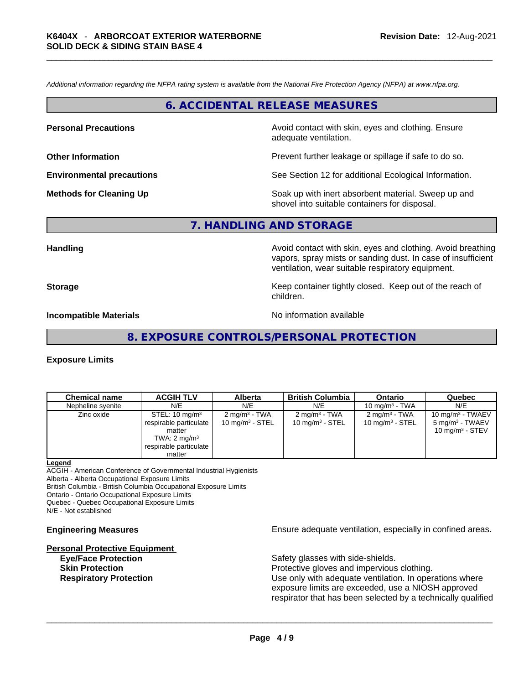*Additional information regarding the NFPA rating system is available from the National Fire Protection Agency (NFPA) at www.nfpa.org.* 

# **6. ACCIDENTAL RELEASE MEASURES**

**Personal Precautions Avoid contact with skin, eyes and clothing. Ensure Personal Precautions** adequate ventilation.

**Other Information Other Information Prevent further leakage or spillage if safe to do so.** 

**Environmental precautions** See Section 12 for additional Ecological Information.

**Methods for Cleaning Up Example 20 All 20 All 20 All 20 Soak** up with inert absorbent material. Sweep up and shovel into suitable containers for disposal.

# **7. HANDLING AND STORAGE**

**Handling Avoid contact with skin, eyes and clothing. Avoid breathing Handling Avoid breathing** vapors, spray mists or sanding dust. In case of insufficient ventilation, wear suitable respiratory equipment.

**Storage Example 2 Keep container tightly closed.** Keep out of the reach of

children.

**Incompatible Materials Materials** No information available

**8. EXPOSURE CONTROLS/PERSONAL PROTECTION** 

#### **Exposure Limits**

| <b>Chemical name</b> | <b>ACGIH TLV</b>                                                                                                              | <b>Alberta</b>                                          | <b>British Columbia</b>                                | Ontario                                                | Quebec                                                                  |
|----------------------|-------------------------------------------------------------------------------------------------------------------------------|---------------------------------------------------------|--------------------------------------------------------|--------------------------------------------------------|-------------------------------------------------------------------------|
| Nepheline syenite    | N/E                                                                                                                           | N/E                                                     | N/E                                                    | 10 mg/m $3$ - TWA                                      | N/E                                                                     |
| Zinc oxide           | STEL: 10 mg/m <sup>3</sup><br>respirable particulate<br>matter<br>TWA: $2 \text{ mg/m}^3$<br>respirable particulate<br>matter | 2 mg/m <sup>3</sup> - TWA<br>$10 \text{ mg/m}^3$ - STEL | $2 \text{ mg/m}^3$ - TWA<br>$10 \text{ mg/m}^3$ - STEL | $2 \text{ mq/m}^3$ - TWA<br>$10 \text{ mg/m}^3$ - STEL | 10 mg/m $3$ - TWAEV<br>5 mg/m <sup>3</sup> - TWAEV<br>10 $mq/m3$ - STEV |

#### **Legend**

ACGIH - American Conference of Governmental Industrial Hygienists Alberta - Alberta Occupational Exposure Limits British Columbia - British Columbia Occupational Exposure Limits

Ontario - Ontario Occupational Exposure Limits

Quebec - Quebec Occupational Exposure Limits

N/E - Not established

#### **Personal Protective Equipment**

**Engineering Measures Ensure** Ensure adequate ventilation, especially in confined areas.

**Eye/Face Protection Safety glasses with side-shields.** 

**Skin Protection Protection Protective gloves and impervious clothing. Respiratory Protection Number 1** (Use only with adequate ventilation. In operations where exposure limits are exceeded, use a NIOSH approved respirator that has been selected by a technically qualified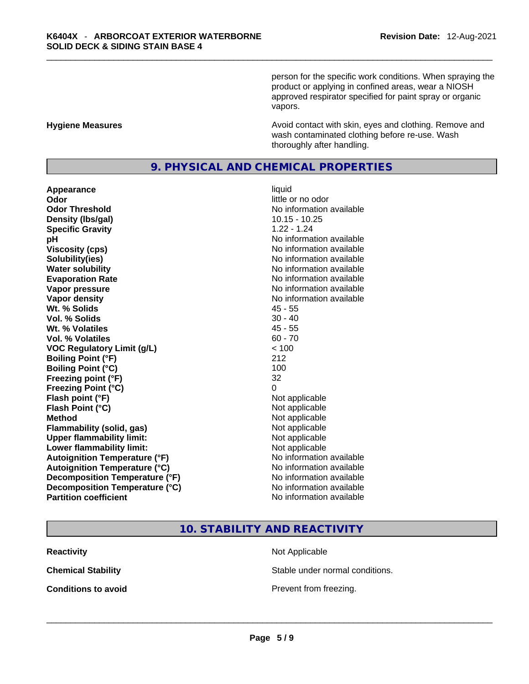person for the specific work conditions. When spraying the product or applying in confined areas, wear a NIOSH approved respirator specified for paint spray or organic vapors.

#### **Hygiene Measures Avoid contact with skin, eyes and clothing. Remove and Avoid contact with skin, eyes and clothing. Remove and Avoid contact with skin, eyes and clothing. Remove and** wash contaminated clothing before re-use. Wash thoroughly after handling.

# **9. PHYSICAL AND CHEMICAL PROPERTIES**

**Appearance** liquid **Odor**<br> **Odor Threshold**<br> **Odor Threshold**<br> **CODOR**<br> **CODOR**<br> **CODOR**<br> **CODOR**<br> **CODOR**<br> **CODOR**<br> **CODOR**<br> **CODOR**<br> **CODOR Density** (Ibs/gal) 10.15 - 10.25 **Specific Gravity** 1.22 - 1.24 **pH bH** *pH* **Viscosity (cps) Viscosity (cps) No information available Solubility(ies)** No information available **Water solubility Water solubility No information available Evaporation Rate Note 2008 No information available Vapor pressure No information available No information available Vapor density No information available No information available Wt. % Solids** 45 - 55 **Vol. % Solids Wt. % Volatiles** 45 - 55 **Vol. % Volatiles** 60 - 70 **VOC Regulatory Limit (g/L)** < 100 **Boiling Point (°F)** 212 **Boiling Point (°C)** 100 **Freezing point (°F)** 32 **Freezing Point (°C)** 0 **Flash point (°F)** Not applicable **Flash Point (°C)** Not applicable **Method**<br> **Plammability (solid, gas)**<br> **Plammability (solid, gas)**<br> **Not applicable Flammability** (solid, gas) **Upper flammability limit:**<br> **Lower flammability limit:** Not applicable Not applicable **Lower flammability limit:**<br> **Autoianition Temperature (°F)**<br> **Autoianition Temperature (°F)**<br> **Autoianition Temperature (°F)**<br> **Autoianition Temperature (°F) Autoignition Temperature (°F) Autoignition Temperature (°C)** No information available **Decomposition Temperature (°F)** No information available **Decomposition Temperature (°C)** No information available **Partition coefficient** No information available

**No information available** 

# **10. STABILITY AND REACTIVITY**

**Reactivity Not Applicable Not Applicable** 

**Chemical Stability** Stable under normal conditions.

**Conditions to avoid**<br> **Example 2018**<br> **Conditions to avoid**<br> **Example 2018**<br> **Prevent from freezing.**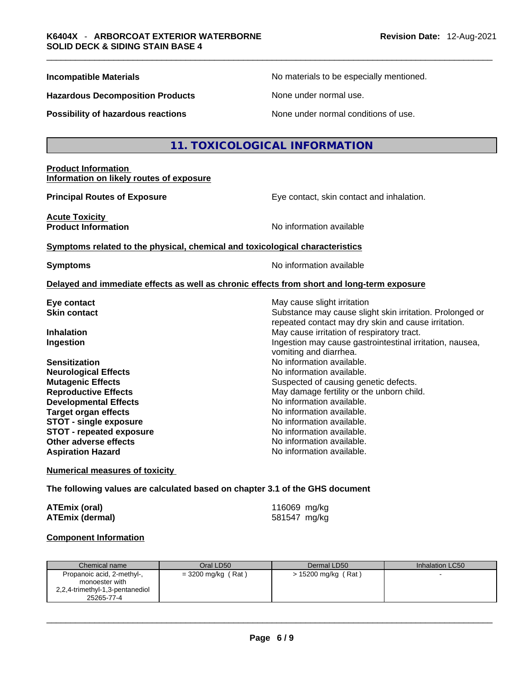**Hazardous Decomposition Products** None under normal use.

**Possibility of hazardous reactions** None under normal conditions of use.

**Incompatible Materials No materials** No materials to be especially mentioned.

# **11. TOXICOLOGICAL INFORMATION**

#### **Product Information Information on likely routes of exposure**

**Principal Routes of Exposure Exposure** Eye contact, skin contact and inhalation.

**Acute Toxicity Product Information Information No information available** 

repeated contact may dry skin and cause irritation.

**<u>Symptoms related to the physical, chemical and toxicological characteristics</u>** 

**Symptoms Symptoms No information available** 

vomiting and diarrhea.

#### **Delayed and immediate effects as well as chronic effects from short and long-term exposure**

**Eye contact Exercise Structure is a set of the May cause slight irritation Skin contact Substance may cause slight skin irritation.** Prolonged or

**Inhalation Inhalation Inhalation May cause irritation of respiratory tract. Ingestion Ingestion Index is a structure of the line of the line of the line of the line of the line of the line of the line of the line of the line of the line of the line of the line of the line of the line of the l** 

**Sensitization No information available. No information available. Neurological Effects** Noinformation available. **Mutagenic Effects Suspected of causing genetic defects. Reproductive Effects May damage fertility or the unborn child.** May damage fertility or the unborn child. **Developmental Effects No information available.** No information available. **Target organ effects** No information available. **STOT - single exposure All and STOT - single exposure** No information available.<br> **STOT - repeated exposure No information available. STOT - repeated exposure and intervals and information available.**<br> **Other adverse effects CONFING CONFING CONFING AVAILABLE Other adverse effects Aspiration Hazard**  No information available.

**Numerical measures of toxicity**

#### **The following values are calculated based on chapter 3.1 of the GHS document**

| ATEmix (oral)          | 116069 mg/kg |
|------------------------|--------------|
| <b>ATEmix (dermal)</b> | 581547 mg/kg |

#### **Component Information**

| Chemical name                                                                                 | Oral LD50            | Dermal LD50           | Inhalation LC50 |
|-----------------------------------------------------------------------------------------------|----------------------|-----------------------|-----------------|
| Propanoic acid, 2-methyl-,<br>monoester with<br>2,2,4-trimethyl-1,3-pentanediol<br>25265-77-4 | $= 3200$ mg/kg (Rat) | $> 15200$ mg/kg (Rat) |                 |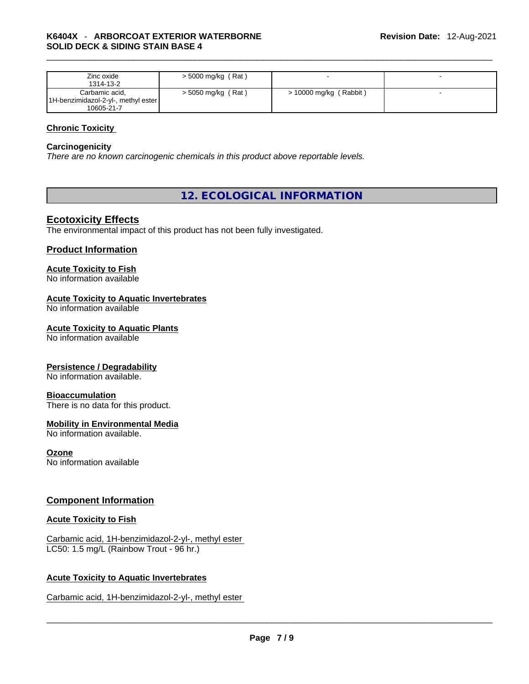| Zinc oxide<br>1314-13-2             | $>$ 5000 mg/kg (Rat) |                          |  |
|-------------------------------------|----------------------|--------------------------|--|
| Carbamic acid,                      | $>$ 5050 mg/kg (Rat) | $>$ 10000 mg/kg (Rabbit) |  |
| 1H-benzimidazol-2-yl-, methyl ester |                      |                          |  |
| 10605-21-7                          |                      |                          |  |

### **Chronic Toxicity**

#### **Carcinogenicity**

*There are no known carcinogenic chemicals in this product above reportable levels.* 

# **12. ECOLOGICAL INFORMATION**

# **Ecotoxicity Effects**

The environmental impact of this product has not been fully investigated.

### **Product Information**

#### **Acute Toxicity to Fish**

No information available

# **Acute Toxicity to Aquatic Invertebrates**

No information available

#### **Acute Toxicity to Aquatic Plants**

No information available

#### **Persistence / Degradability**

No information available.

#### **Bioaccumulation**

There is no data for this product.

### **Mobility in Environmental Media**

No information available.

#### **Ozone**

No information available

# **Component Information**

### **Acute Toxicity to Fish**

Carbamic acid, 1H-benzimidazol-2-yl-, methyl ester LC50: 1.5 mg/L (Rainbow Trout - 96 hr.)

#### **Acute Toxicity to Aquatic Invertebrates**

Carbamic acid, 1H-benzimidazol-2-yl-, methyl ester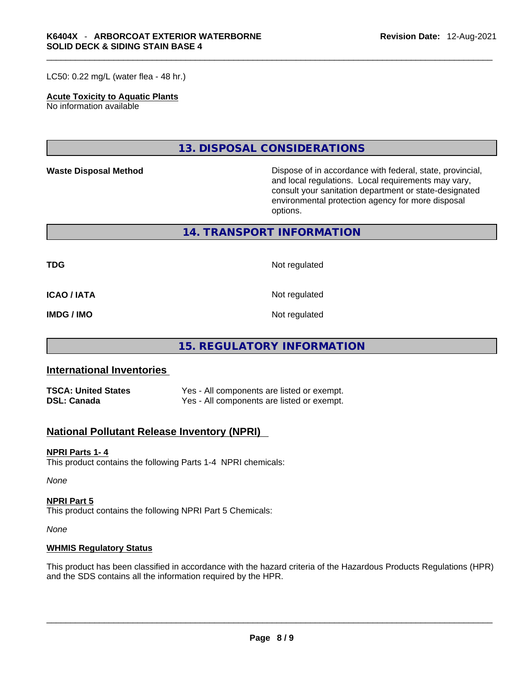LC50: 0.22 mg/L (water flea - 48 hr.)

#### **Acute Toxicity to Aquatic Plants**

No information available

**13. DISPOSAL CONSIDERATIONS** 

Waste Disposal Method **Waste Disposal Method Dispose of in accordance with federal, state, provincial,** and local regulations. Local requirements may vary, consult your sanitation department or state-designated environmental protection agency for more disposal options.

**14. TRANSPORT INFORMATION** 

**TDG** Not regulated

**ICAO / IATA** Not regulated

**IMDG / IMO** Not regulated

# **15. REGULATORY INFORMATION**

# **International Inventories**

| <b>TSCA: United States</b> | Yes - All components are listed or exempt. |
|----------------------------|--------------------------------------------|
| <b>DSL: Canada</b>         | Yes - All components are listed or exempt. |

# **National Pollutant Release Inventory (NPRI)**

#### **NPRI Parts 1- 4**

This product contains the following Parts 1-4 NPRI chemicals:

*None*

### **NPRI Part 5**

This product contains the following NPRI Part 5 Chemicals:

*None*

#### **WHMIS Regulatory Status**

This product has been classified in accordance with the hazard criteria of the Hazardous Products Regulations (HPR) and the SDS contains all the information required by the HPR. \_\_\_\_\_\_\_\_\_\_\_\_\_\_\_\_\_\_\_\_\_\_\_\_\_\_\_\_\_\_\_\_\_\_\_\_\_\_\_\_\_\_\_\_\_\_\_\_\_\_\_\_\_\_\_\_\_\_\_\_\_\_\_\_\_\_\_\_\_\_\_\_\_\_\_\_\_\_\_\_\_\_\_\_\_\_\_\_\_\_\_\_\_